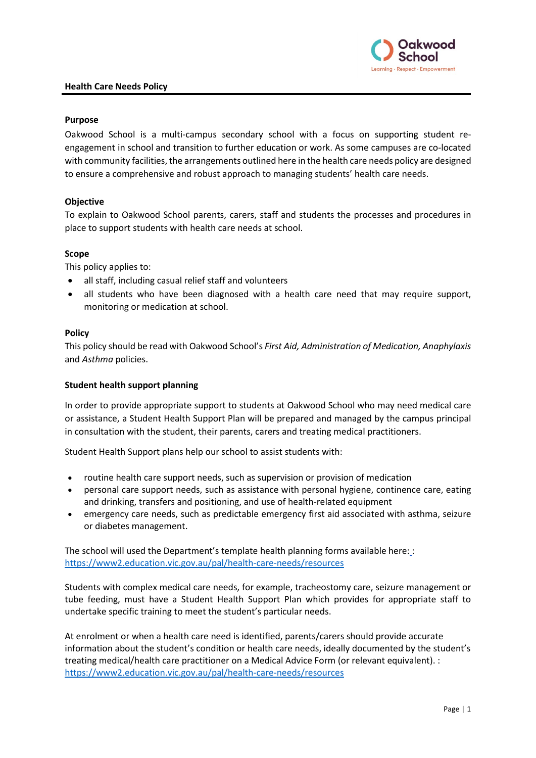

#### **Health Care Needs Policy**

## **Purpose**

Oakwood School is a multi-campus secondary school with a focus on supporting student reengagement in school and transition to further education or work. As some campuses are co-located with community facilities, the arrangements outlined here in the health care needs policy are designed to ensure a comprehensive and robust approach to managing students' health care needs.

## **Objective**

To explain to Oakwood School parents, carers, staff and students the processes and procedures in place to support students with health care needs at school.

#### **Scope**

This policy applies to:

- all staff, including casual relief staff and volunteers
- all students who have been diagnosed with a health care need that may require support, monitoring or medication at school.

#### **Policy**

This policy should be read with Oakwood School's *First Aid, Administration of Medication, Anaphylaxis* and *Asthma* policies.

## **Student health support planning**

In order to provide appropriate support to students at Oakwood School who may need medical care or assistance, a Student Health Support Plan will be prepared and managed by the campus principal in consultation with the student, their parents, carers and treating medical practitioners.

Student Health Support plans help our school to assist students with:

- routine health care support needs, such as supervision or provision of medication
- personal care support needs, such as assistance with personal hygiene, continence care, eating and drinking, transfers and positioning, and use of health-related equipment
- emergency care needs, such as predictable emergency first aid associated with asthma, seizure or diabetes management.

The school will used the Department's template health planning forms available here: : <https://www2.education.vic.gov.au/pal/health-care-needs/resources>

Students with complex medical care needs, for example, tracheostomy care, seizure management or tube feeding, must have a Student Health Support Plan which provides for appropriate staff to undertake specific training to meet the student's particular needs.

At enrolment or when a health care need is identified, parents/carers should provide accurate information about the student's condition or health care needs, ideally documented by the student's treating medical/health care practitioner on a Medical Advice Form (or relevant equivalent). : <https://www2.education.vic.gov.au/pal/health-care-needs/resources>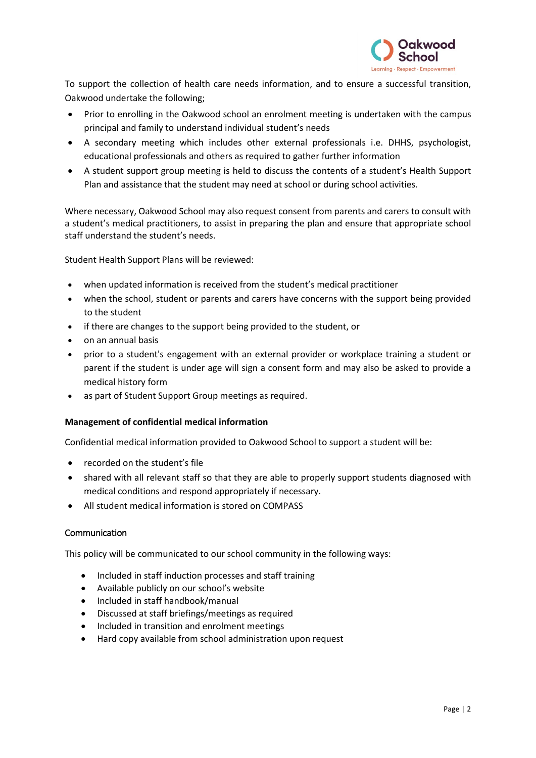

To support the collection of health care needs information, and to ensure a successful transition, Oakwood undertake the following;

- Prior to enrolling in the Oakwood school an enrolment meeting is undertaken with the campus principal and family to understand individual student's needs
- A secondary meeting which includes other external professionals i.e. DHHS, psychologist, educational professionals and others as required to gather further information
- A student support group meeting is held to discuss the contents of a student's Health Support Plan and assistance that the student may need at school or during school activities.

Where necessary, Oakwood School may also request consent from parents and carers to consult with a student's medical practitioners, to assist in preparing the plan and ensure that appropriate school staff understand the student's needs.

Student Health Support Plans will be reviewed:

- when updated information is received from the student's medical practitioner
- when the school, student or parents and carers have concerns with the support being provided to the student
- if there are changes to the support being provided to the student, or
- on an annual basis
- prior to a student's engagement with an external provider or workplace training a student or parent if the student is under age will sign a consent form and may also be asked to provide a medical history form
- as part of Student Support Group meetings as required.

## **Management of confidential medical information**

Confidential medical information provided to Oakwood School to support a student will be:

- recorded on the student's file
- shared with all relevant staff so that they are able to properly support students diagnosed with medical conditions and respond appropriately if necessary.
- All student medical information is stored on COMPASS

## **Communication**

This policy will be communicated to our school community in the following ways:

- Included in staff induction processes and staff training
- Available publicly on our school's website
- Included in staff handbook/manual
- Discussed at staff briefings/meetings as required
- Included in transition and enrolment meetings
- Hard copy available from school administration upon request